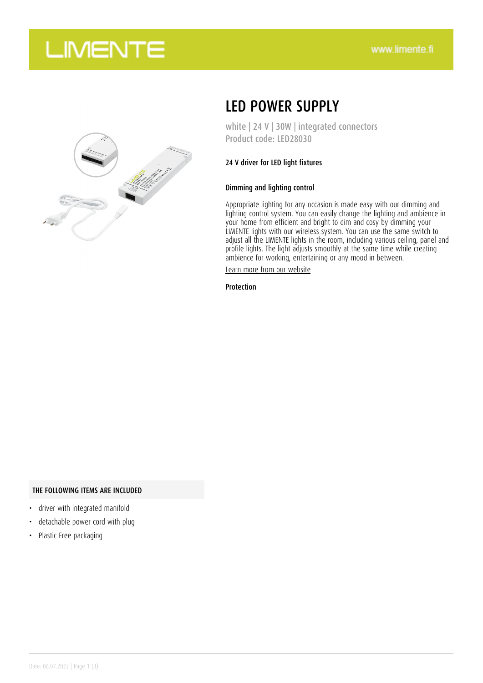## **LIMENTE**



## LED POWER SUPPLY

white | 24 V | 30W | integrated connectors Product code: LED28030

### 24 V driver for LED light fixtures

### Dimming and lighting control

Appropriate lighting for any occasion is made easy with our dimming and lighting control system. You can easily change the lighting and ambience in your home from efficient and bright to dim and cosy by dimming your LIMENTE lights with our wireless system. You can use the same switch to adjust all the LIMENTE lights in the room, including various ceiling, panel and profile lights. The light adjusts smoothly at the same time while creating ambience for working, entertaining or any mood in between.

[Learn more from our website](https://www.limente.fi/tuotteet/LED28030)

Protection

#### THE FOLLOWING ITEMS ARE INCLUDED

- driver with integrated manifold
- detachable power cord with plug
- Plastic Free packaging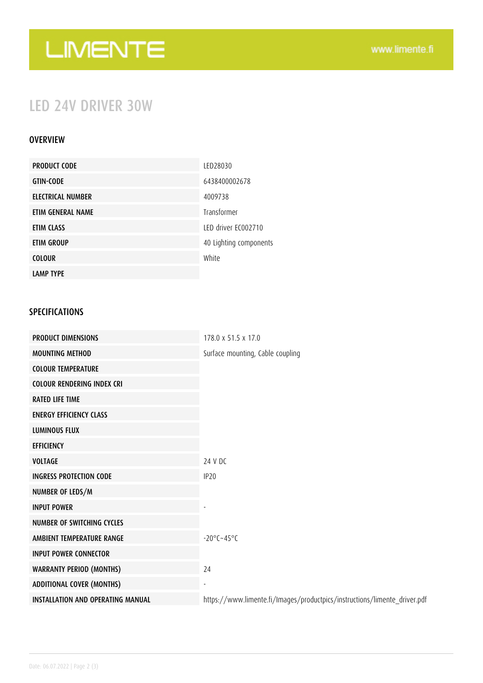# LIMENTE

## LED 24V DRIVER 30W

### OVERVIEW

| <b>PRODUCT CODE</b>      | LED28030               |
|--------------------------|------------------------|
| <b>GTIN-CODE</b>         | 6438400002678          |
| <b>ELECTRICAL NUMBER</b> | 4009738                |
| ETIM GENERAL NAME        | Transformer            |
| ETIM CLASS               | LED driver EC002710    |
| <b>ETIM GROUP</b>        | 40 Lighting components |
| <b>COLOUR</b>            | White                  |
| <b>LAMP TYPE</b>         |                        |

### SPECIFICATIONS

| <b>PRODUCT DIMENSIONS</b>                | 178.0 x 51.5 x 17.0                                                       |
|------------------------------------------|---------------------------------------------------------------------------|
| <b>MOUNTING METHOD</b>                   | Surface mounting, Cable coupling                                          |
| <b>COLOUR TEMPERATURE</b>                |                                                                           |
| <b>COLOUR RENDERING INDEX CRI</b>        |                                                                           |
| <b>RATED LIFE TIME</b>                   |                                                                           |
| <b>ENERGY EFFICIENCY CLASS</b>           |                                                                           |
| <b>LUMINOUS FLUX</b>                     |                                                                           |
| <b>EFFICIENCY</b>                        |                                                                           |
| <b>VOLTAGE</b>                           | 24 V DC                                                                   |
| <b>INGRESS PROTECTION CODE</b>           | IP <sub>20</sub>                                                          |
| NUMBER OF LEDS/M                         |                                                                           |
| <b>INPUT POWER</b>                       |                                                                           |
| NUMBER OF SWITCHING CYCLES               |                                                                           |
| AMBIENT TEMPERATURE RANGE                | $-20^{\circ}$ C $-45^{\circ}$ C                                           |
| <b>INPUT POWER CONNECTOR</b>             |                                                                           |
| <b>WARRANTY PERIOD (MONTHS)</b>          | 24                                                                        |
| <b>ADDITIONAL COVER (MONTHS)</b>         |                                                                           |
| <b>INSTALLATION AND OPERATING MANUAL</b> | https://www.limente.fi/Images/productpics/instructions/limente_driver.pdf |